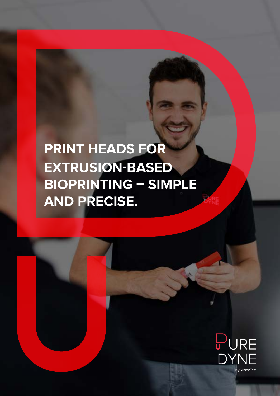# **PRINT HEADS FOR EXTRUSION-BASED BIOPRINTING – SIMPLE AND PRECISE.**

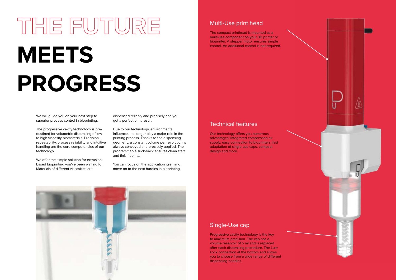# **THE FUTURE MEETS PROGRESS**

We will guide you on your next step to superior process control in bioprinting.

The progressive cavity technology is predestined for volumetric dispensing of low to high viscosity biomaterials. Precision, repeatability, process reliability and intuitive handling are the core competencies of our technology.

We offer the simple solution for extrusionbased bioprinting you've been waiting for! Materials of different viscosities are

#### Single-Use cap

Our technology offers you numerous advantages: Integrated compressed air supply, easy connection to bioprinters, fast adaptation of single-use caps, compact design and more.

Progressive cavity technology is the key to maximum precision. The cap has a volume reservoir of 5 ml and is replaced after each dispensing procedure. The Luer Lock connection at the bottom end allows you to choose from a wide range of different dispensing needles.



### Multi-Use print head

The compact printhead is mounted as a multi-use component on your 3D printer or bioprinter. A stepper motor ensures simple control. An additional control is not required.

#### Technical features

dispensed reliably and precisely and you get a perfect print result.

Due to our technology, environmental influences no longer play a major role in the printing process. Thanks to the dispensing geometry, a constant volume per revolution is always conveyed and precisely applied. The programmable suck-back ensures clean start and finish points.

You can focus on the application itself and move on to the next hurdles in bioprinting.

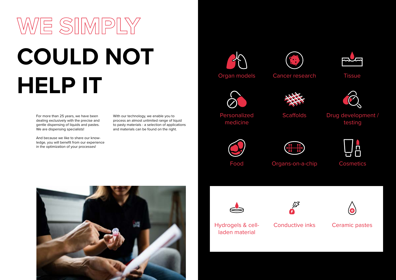# **WE SIMPLY COULD NOT HELP IT**

For more than 25 years, we have been dealing exclusively with the precise and gentle dispensing of liquids and pastes. We are dispensing specialists!

And because we like to share our knowledge, you will benefit from our experience in the optimization of your processes!

With our technology, we enable you to process an almost unlimited range of liquid to pasty materials - a selection of applications and materials can be found on the right.



Organ models





Personalized medicine

**Scaffolds** 











Hydrogels & cellladen material





Conductive inks











## Drug development / testing









Ceramic pastes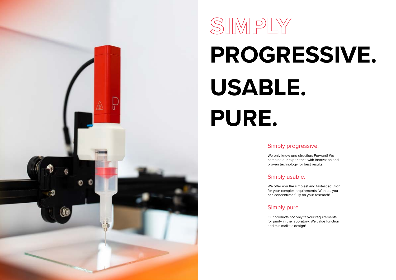

# **SIMPLY PROGRESSIVE. USABLE. PURE.**

## Simply progressive.

We only know one direction: Forward! We combine our experience with innovation and proven technology for best results.

## Simply usable.

We offer you the simplest and fastest solution for your complex requirements. With us, you can concentrate fully on your research!

## Simply pure.

Our products not only fit your requirements for purity in the laboratory. We value function and minimalistic design!